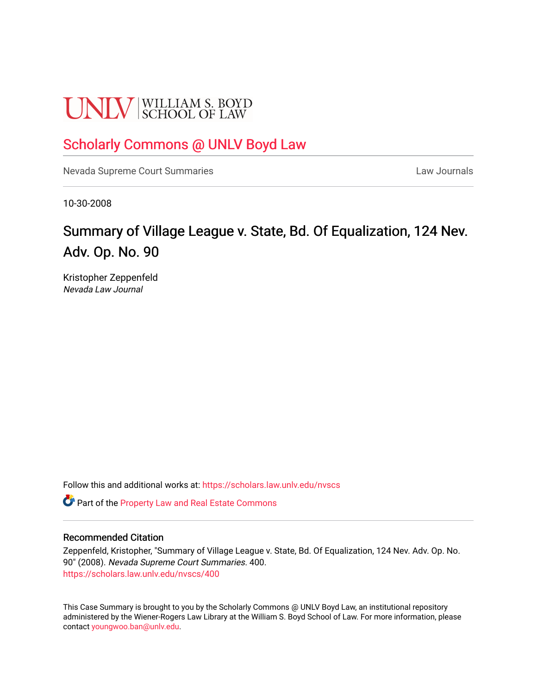# **UNLV** SCHOOL OF LAW

## [Scholarly Commons @ UNLV Boyd Law](https://scholars.law.unlv.edu/)

[Nevada Supreme Court Summaries](https://scholars.law.unlv.edu/nvscs) **Law Journals** Law Journals

10-30-2008

# Summary of Village League v. State, Bd. Of Equalization, 124 Nev. Adv. Op. No. 90

Kristopher Zeppenfeld Nevada Law Journal

Follow this and additional works at: [https://scholars.law.unlv.edu/nvscs](https://scholars.law.unlv.edu/nvscs?utm_source=scholars.law.unlv.edu%2Fnvscs%2F400&utm_medium=PDF&utm_campaign=PDFCoverPages)

Part of the [Property Law and Real Estate Commons](http://network.bepress.com/hgg/discipline/897?utm_source=scholars.law.unlv.edu%2Fnvscs%2F400&utm_medium=PDF&utm_campaign=PDFCoverPages) 

#### Recommended Citation

Zeppenfeld, Kristopher, "Summary of Village League v. State, Bd. Of Equalization, 124 Nev. Adv. Op. No. 90" (2008). Nevada Supreme Court Summaries. 400. [https://scholars.law.unlv.edu/nvscs/400](https://scholars.law.unlv.edu/nvscs/400?utm_source=scholars.law.unlv.edu%2Fnvscs%2F400&utm_medium=PDF&utm_campaign=PDFCoverPages)

This Case Summary is brought to you by the Scholarly Commons @ UNLV Boyd Law, an institutional repository administered by the Wiener-Rogers Law Library at the William S. Boyd School of Law. For more information, please contact [youngwoo.ban@unlv.edu](mailto:youngwoo.ban@unlv.edu).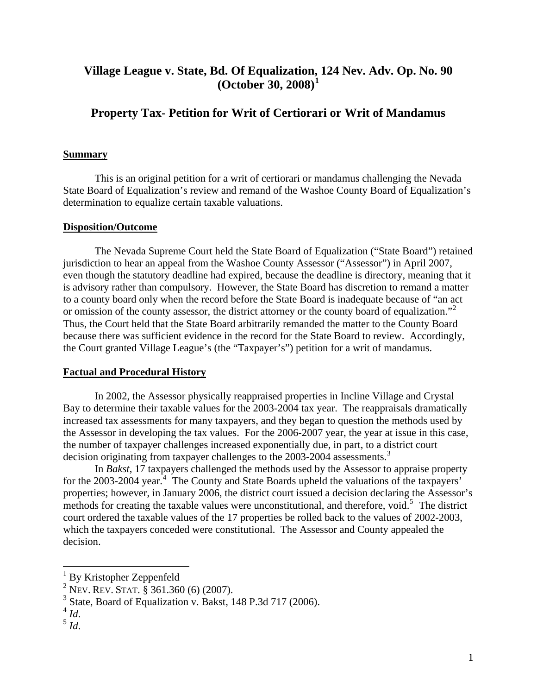### **Village League v. State, Bd. Of Equalization, [1](#page-1-0)24 Nev. Adv. Op. No. 90 (October 30, 2008)[1](#page-1-0)**

## **Property Tax- Petition for Writ of Certiorari or Writ of Mandamus**

#### **Summary**

 This is an original petition for a writ of certiorari or mandamus challenging the Nevada State Board of Equalization's review and remand of the Washoe County Board of Equalization's determination to equalize certain taxable valuations.

#### **Disposition/Outcome**

The Nevada Supreme Court held the State Board of Equalization ("State Board") retained jurisdiction to hear an appeal from the Washoe County Assessor ("Assessor") in April 2007, even though the statutory deadline had expired, because the deadline is directory, meaning that it is advisory rather than compulsory. However, the State Board has discretion to remand a matter to a county board only when the record before the State Board is inadequate because of "an act or omission of the county assessor, the district attorney or the county board of equalization."<sup>[2](#page-1-1)</sup> Thus, the Court held that the State Board arbitrarily remanded the matter to the County Board because there was sufficient evidence in the record for the State Board to review. Accordingly, the Court granted Village League's (the "Taxpayer's") petition for a writ of mandamus.

#### **Factual and Procedural History**

 In 2002, the Assessor physically reappraised properties in Incline Village and Crystal Bay to determine their taxable values for the 2003-2004 tax year. The reappraisals dramatically increased tax assessments for many taxpayers, and they began to question the methods used by the Assessor in developing the tax values. For the 2006-2007 year, the year at issue in this case, the number of taxpayer challenges increased exponentially due, in part, to a district court decision originating from taxpayer challenges to the 200[3](#page-1-2)-2004 assessments.<sup>3</sup>

 In *Bakst*, 17 taxpayers challenged the methods used by the Assessor to appraise property for the 2003-200[4](#page-1-3) year.<sup>4</sup> The County and State Boards upheld the valuations of the taxpayers' properties; however, in January 2006, the district court issued a decision declaring the Assessor's methods for creating the taxable values were unconstitutional, and therefore, void.<sup>[5](#page-1-4)</sup> The district court ordered the taxable values of the 17 properties be rolled back to the values of 2002-2003, which the taxpayers conceded were constitutional. The Assessor and County appealed the decision.

1

<span id="page-1-0"></span><sup>&</sup>lt;sup>1</sup> By Kristopher Zeppenfeld

<span id="page-1-1"></span><sup>2</sup> NEV. REV. STAT. § 361.360 (6) (2007).

 $3$  State, Board of Equalization v. Bakst, 148 P.3d 717 (2006).

<span id="page-1-4"></span><span id="page-1-3"></span><span id="page-1-2"></span> $\int_5^4$  *Id*.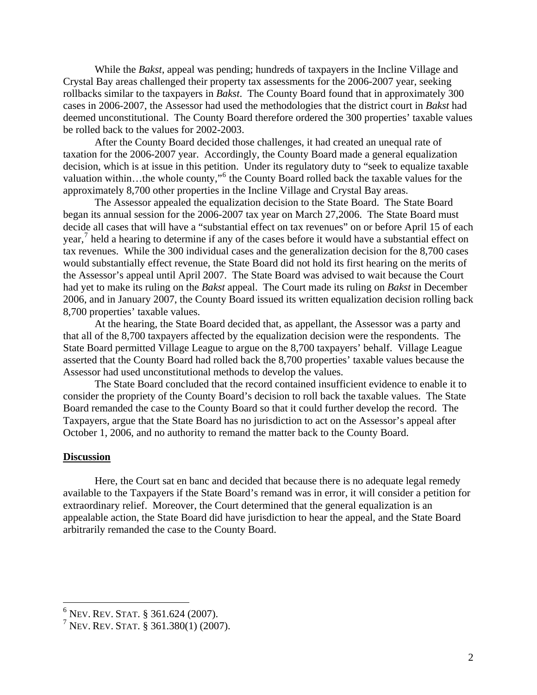While the *Bakst*, appeal was pending; hundreds of taxpayers in the Incline Village and Crystal Bay areas challenged their property tax assessments for the 2006-2007 year, seeking rollbacks similar to the taxpayers in *Bakst*. The County Board found that in approximately 300 cases in 2006-2007, the Assessor had used the methodologies that the district court in *Bakst* had deemed unconstitutional. The County Board therefore ordered the 300 properties' taxable values be rolled back to the values for 2002-2003.

 After the County Board decided those challenges, it had created an unequal rate of taxation for the 2006-2007 year. Accordingly, the County Board made a general equalization decision, which is at issue in this petition. Under its regulatory duty to "seek to equalize taxable valuation within...the whole county,"<sup>[6](#page-2-0)</sup> the County Board rolled back the taxable values for the approximately 8,700 other properties in the Incline Village and Crystal Bay areas.

 The Assessor appealed the equalization decision to the State Board. The State Board began its annual session for the 2006-2007 tax year on March 27,2006. The State Board must decide all cases that will have a "substantial effect on tax revenues" on or before April 15 of each year,<sup>[7](#page-2-1)</sup> held a hearing to determine if any of the cases before it would have a substantial effect on tax revenues. While the 300 individual cases and the generalization decision for the 8,700 cases would substantially effect revenue, the State Board did not hold its first hearing on the merits of the Assessor's appeal until April 2007. The State Board was advised to wait because the Court had yet to make its ruling on the *Bakst* appeal. The Court made its ruling on *Bakst* in December 2006, and in January 2007, the County Board issued its written equalization decision rolling back 8,700 properties' taxable values.

 At the hearing, the State Board decided that, as appellant, the Assessor was a party and that all of the 8,700 taxpayers affected by the equalization decision were the respondents. The State Board permitted Village League to argue on the 8,700 taxpayers' behalf. Village League asserted that the County Board had rolled back the 8,700 properties' taxable values because the Assessor had used unconstitutional methods to develop the values.

 The State Board concluded that the record contained insufficient evidence to enable it to consider the propriety of the County Board's decision to roll back the taxable values. The State Board remanded the case to the County Board so that it could further develop the record. The Taxpayers, argue that the State Board has no jurisdiction to act on the Assessor's appeal after October 1, 2006, and no authority to remand the matter back to the County Board.

#### **Discussion**

 $\overline{a}$ 

 Here, the Court sat en banc and decided that because there is no adequate legal remedy available to the Taxpayers if the State Board's remand was in error, it will consider a petition for extraordinary relief. Moreover, the Court determined that the general equalization is an appealable action, the State Board did have jurisdiction to hear the appeal, and the State Board arbitrarily remanded the case to the County Board.

<span id="page-2-0"></span> $6$  Nev. Rev. Stat. § 361.624 (2007).

<span id="page-2-1"></span> $7$  Nev. Rev. Stat. § 361.380(1) (2007).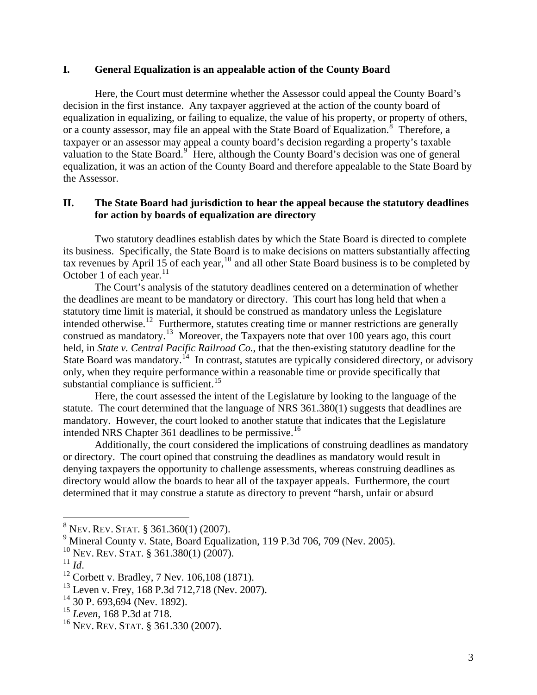#### **I. General Equalization is an appealable action of the County Board**

Here, the Court must determine whether the Assessor could appeal the County Board's decision in the first instance. Any taxpayer aggrieved at the action of the county board of equalization in equalizing, or failing to equalize, the value of his property, or property of others, or a county assessor, may file an appeal with the State Board of Equalization.<sup>[8](#page-3-0)</sup> Therefore, a taxpayer or an assessor may appeal a county board's decision regarding a property's taxable valuation to the State Board.<sup>[9](#page-3-1)</sup> Here, although the County Board's decision was one of general equalization, it was an action of the County Board and therefore appealable to the State Board by the Assessor.

#### **II. The State Board had jurisdiction to hear the appeal because the statutory deadlines for action by boards of equalization are directory**

Two statutory deadlines establish dates by which the State Board is directed to complete its business. Specifically, the State Board is to make decisions on matters substantially affecting tax revenues by April 15 of each year,  $10$  and all other State Board business is to be completed by October 1 of each year. $^{11}$  $^{11}$  $^{11}$ 

 The Court's analysis of the statutory deadlines centered on a determination of whether the deadlines are meant to be mandatory or directory. This court has long held that when a statutory time limit is material, it should be construed as mandatory unless the Legislature intended otherwise.<sup>[12](#page-3-4)</sup> Furthermore, statutes creating time or manner restrictions are generally construed as mandatory.<sup>[13](#page-3-5)</sup> Moreover, the Taxpayers note that over 100 years ago, this court held, in *State v. Central Pacific Railroad Co.*, that the then-existing statutory deadline for the State Board was mandatory.<sup>[14](#page-3-6)</sup> In contrast, statutes are typically considered directory, or advisory only, when they require performance within a reasonable time or provide specifically that substantial compliance is sufficient.<sup>[15](#page-3-7)</sup>

 Here, the court assessed the intent of the Legislature by looking to the language of the statute. The court determined that the language of NRS 361.380(1) suggests that deadlines are mandatory. However, the court looked to another statute that indicates that the Legislature intended NRS Chapter 361 deadlines to be permissive.<sup>[16](#page-3-8)</sup>

 Additionally, the court considered the implications of construing deadlines as mandatory or directory. The court opined that construing the deadlines as mandatory would result in denying taxpayers the opportunity to challenge assessments, whereas construing deadlines as directory would allow the boards to hear all of the taxpayer appeals. Furthermore, the court determined that it may construe a statute as directory to prevent "harsh, unfair or absurd

<span id="page-3-0"></span> 8 NEV. REV. STAT. § 361.360(1) (2007).

<sup>&</sup>lt;sup>9</sup> Mineral County v. State, Board Equalization, 119 P.3d 706, 709 (Nev. 2005).

<span id="page-3-3"></span><span id="page-3-2"></span><span id="page-3-1"></span><sup>&</sup>lt;sup>10</sup> Nev. Rev. Stat. § 361.380(1) (2007).<br><sup>11</sup> Id.

<span id="page-3-4"></span><sup>&</sup>lt;sup>12</sup> Corbett v. Bradley, 7 Nev. 106,108 (1871).

<span id="page-3-5"></span> $^{13}$  Leven v. Frey, 168 P.3d 712,718 (Nev. 2007).

<span id="page-3-6"></span> $14$  30 P. 693,694 (Nev. 1892).

<span id="page-3-7"></span><sup>15</sup> *Leven*, 168 P.3d at 718.

<span id="page-3-8"></span><sup>16</sup> NEV. REV. STAT. § 361.330 (2007).